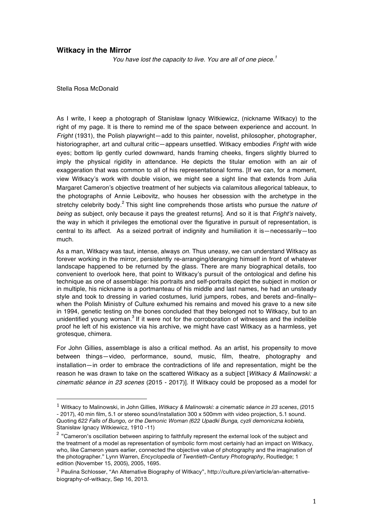## **Witkacy in the Mirror**

 *You have lost the capacity to live. You are all of one piece.<sup>1</sup>*

Stella Rosa McDonald

 

As I write, I keep a photograph of Stanisław Ignacy Witkiewicz, (nickname Witkacy) to the right of my page. It is there to remind me of the space between experience and account. In *Fright* (1931), the Polish playwright—add to this painter, novelist, philosopher, photographer, historiographer, art and cultural critic—appears unsettled. Witkacy embodies *Fright* with wide eyes; bottom lip gently curled downward, hands framing cheeks, fingers slightly blurred to imply the physical rigidity in attendance. He depicts the titular emotion with an air of exaggeration that was common to all of his representational forms. [If we can, for a moment, view Witkacy's work with double vision, we might see a sight line that extends from Julia Margaret Cameron's objective treatment of her subjects via calamitous allegorical tableaux, to the photographs of Annie Leibovitz, who houses her obsession with the archetype in the stretchy celebrity body.<sup>2</sup> This sight line comprehends those artists who pursue the *nature of being* as subject, only because it pays the greatest returns]. And so it is that *Fright's* naivety, the way in which it privileges the emotional over the figurative in pursuit of representation, is central to its affect. As a seized portrait of indignity and humiliation it is—necessarily—too much.

As a man, Witkacy was taut, intense, always *on*. Thus uneasy, we can understand Witkacy as forever working in the mirror, persistently re-arranging/deranging himself in front of whatever landscape happened to be returned by the glass. There are many biographical details, too convenient to overlook here, that point to Witkacy's pursuit of the ontological and define his technique as one of assemblage: his portraits and self-portraits depict the subject in motion or in multiple, his nickname is a portmanteau of his middle and last names, he had an unsteady style and took to dressing in varied costumes, lurid jumpers, robes, and berets and–finally– when the Polish Ministry of Culture exhumed his remains and moved his grave to a new site in 1994, genetic testing on the bones concluded that they belonged not to Witkacy, but to an unidentified young woman.<sup>3</sup> If it were not for the corroboration of witnesses and the indelible proof he left of his existence via his archive, we might have cast Witkacy as a harmless, yet grotesque, chimera.

For John Gillies, assemblage is also a critical method. As an artist, his propensity to move between things—video, performance, sound, music, film, theatre, photography and installation—in order to embrace the contradictions of life and representation, might be the reason he was drawn to take on the scattered Witkacy as a subject [*Witkacy & Malinowski: a cinematic séance in 23 scenes* (2015 - 2017)]. If Witkacy could be proposed as a model for

<sup>1</sup> Witkacy to Malinowski, in John Gillies, *Witkacy & Malinowski: a cinematic séance in 23 scenes*, (2015 - 2017), 40 min film, 5.1 or stereo sound/installation 300 x 500mm with video projection, 5.1 sound. Quoting *622 Falls of Bungo, or the Demonic Woman (622 Upadki Bunga, cyzli demoniczna kobieta,*  Stanisław Ignacy Witkiewicz, 1910 -11)

 $2$  "Cameron's oscillation between aspiring to faithfully represent the external look of the subject and the treatment of a model as representation of symbolic form most certainly had an impact on Witkacy, who, like Cameron years earlier, connected the objective value of photography and the imagination of the photographer." Lynn Warren, *Encyclopedia of Twentieth-Century Photography*, Routledge; 1 edition (November 15, 2005), 2005, 1695.

<sup>3</sup> Paulina Schlosser, "An Alternative Biography of Witkacy", http://culture.pl/en/article/an-alternativebiography-of-witkacy, Sep 16, 2013.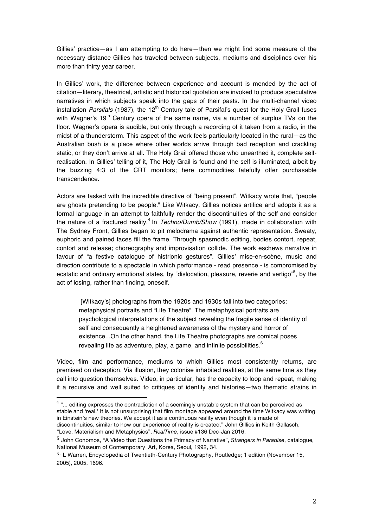Gillies' practice—as I am attempting to do here—then we might find some measure of the necessary distance Gillies has traveled between subjects, mediums and disciplines over his more than thirty year career.

In Gillies' work, the difference between experience and account is mended by the act of citation—literary, theatrical, artistic and historical quotation are invoked to produce speculative narratives in which subjects speak into the gaps of their pasts. In the multi-channel video installation *Parsifals* (1987), the 12<sup>th</sup> Century tale of Parsifal's quest for the Holy Grail fuses with Wagner's  $19<sup>th</sup>$  Century opera of the same name, via a number of surplus TVs on the floor. Wagner's opera is audible, but only through a recording of it taken from a radio, in the midst of a thunderstorm. This aspect of the work feels particularly located in the rural—as the Australian bush is a place where other worlds arrive through bad reception and crackling static, or they don't arrive at all. The Holy Grail offered those who unearthed it, complete selfrealisation. In Gillies' telling of it, The Holy Grail is found and the self is illuminated, albeit by the buzzing 4:3 of the CRT monitors; here commodities fatefully offer purchasable transcendence.

Actors are tasked with the incredible directive of "being present". Witkacy wrote that, "people are ghosts pretending to be people." Like Witkacy, Gillies notices artifice and adopts it as a formal language in an attempt to faithfully render the discontinuities of the self and consider the nature of a fractured reality.<sup>4</sup> In *Techno/Dumb/Show* (1991), made in collaboration with The Sydney Front, Gillies began to pit melodrama against authentic representation. Sweaty, euphoric and pained faces fill the frame. Through spasmodic editing, bodies contort, repeat, contort and release; choreography and improvisation collide. The work eschews narrative in favour of "a festive catalogue of histrionic gestures". Gillies' mise-en-scène, music and direction contribute to a spectacle in which performance - read presence - is compromised by ecstatic and ordinary emotional states, by "dislocation, pleasure, reverie and vertigo"<sup>5</sup>, by the act of losing, rather than finding, oneself.

[Witkacy's] photographs from the 1920s and 1930s fall into two categories: metaphysical portraits and "Life Theatre". The metaphysical portraits are psychological interpretations of the subject revealing the fragile sense of identity of self and consequently a heightened awareness of the mystery and horror of existence...On the other hand, the Life Theatre photographs are comical poses revealing life as adventure, play, a game, and infinite possibilities.<sup>6</sup>

Video, film and performance, mediums to which Gillies most consistently returns, are premised on deception. Via illusion, they colonise inhabited realities, at the same time as they call into question themselves. Video, in particular, has the capacity to loop and repeat, making it a recursive and well suited to critiques of identity and histories—two thematic strains in

<sup>4</sup> "... editing expresses the contradiction of a seemingly unstable system that can be perceived as stable and 'real.' It is not unsurprising that film montage appeared around the time Witkacy was writing in Einstein's new theories. We accept it as a continuous reality even though it is made of discontinuities, similar to how our experience of reality is created." John Gillies in Keith Gallasch, "Love, Materialism and Metaphysics", *RealTime*, issue #136 Dec-Jan 2016.

 

<sup>5</sup> John Conomos, "A Video that Questions the Primacy of Narrative", *Strangers in Paradise*, catalogue, National Museum of Contemporary Art, Korea, Seoul, 1992, 34.

<sup>&</sup>lt;sup>6 .</sup> L Warren, Encyclopedia of Twentieth-Century Photography, Routledge; 1 edition (November 15, 2005), 2005, 1696.